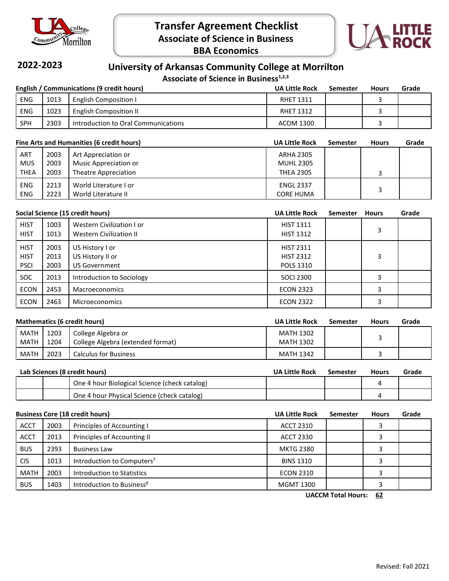

**Transfer Agreement Checklist Associate of Science in Business BBA Economics**



## **2022-2023**

### **University of Arkansas Community College at Morrilton**

Associate of Science in Business<sup>1,2,3</sup>

| English / Communications (9 credit hours) |      |                                     | <b>UA Little Rock</b> | Semester | <b>Hours</b> | Grade |
|-------------------------------------------|------|-------------------------------------|-----------------------|----------|--------------|-------|
| <b>ENG</b>                                | 1013 | <b>English Composition I</b>        | <b>RHET 1311</b>      |          |              |       |
| <b>ENG</b>                                | 1023 | <b>English Composition II</b>       | <b>RHET 1312</b>      |          |              |       |
| <b>SPH</b>                                | 2303 | Introduction to Oral Communications | ACOM 1300             |          |              |       |

| Fine Arts and Humanities (6 credit hours) |      | <b>UA Little Rock</b> | Semester         | <b>Hours</b> | Grade |  |
|-------------------------------------------|------|-----------------------|------------------|--------------|-------|--|
| <b>ART</b>                                | 2003 | Art Appreciation or   | ARHA 2305        |              |       |  |
| <b>MUS</b>                                | 2003 | Music Appreciation or | <b>MUHL 2305</b> |              |       |  |
| <b>THEA</b>                               | 2003 | Theatre Appreciation  | <b>THEA 2305</b> |              |       |  |
| <b>ENG</b>                                | 2213 | World Literature I or | <b>ENGL 2337</b> |              |       |  |
| <b>ENG</b>                                | 2223 | World Literature II   | <b>CORE HUMA</b> |              |       |  |

|                                           | Social Science (15 credit hours) |                                                             |                                                          | <b>Semester</b> | <b>Hours</b> | Grade |
|-------------------------------------------|----------------------------------|-------------------------------------------------------------|----------------------------------------------------------|-----------------|--------------|-------|
| <b>HIST</b><br><b>HIST</b>                | 1003<br>1013                     | Western Civilization I or<br>Western Civilization II        | <b>HIST 1311</b><br><b>HIST 1312</b>                     |                 | 3            |       |
| <b>HIST</b><br><b>HIST</b><br><b>PSCI</b> | 2003<br>2013<br>2003             | US History I or<br>US History II or<br><b>US Government</b> | <b>HIST 2311</b><br><b>HIST 2312</b><br><b>POLS 1310</b> |                 | 3            |       |
| SOC.                                      | 2013                             | Introduction to Sociology                                   | <b>SOCI 2300</b>                                         |                 |              |       |
| <b>ECON</b>                               | 2453                             | <b>Macroeconomics</b>                                       | <b>ECON 2323</b>                                         |                 |              |       |
| <b>ECON</b>                               | 2463                             | <b>Microeconomics</b>                                       | <b>ECON 2322</b>                                         |                 |              |       |

| <b>Mathematics (6 credit hours)</b> |              |                                                         | <b>UA Little Rock</b>         | <b>Semester</b> | <b>Hours</b> | Grade |
|-------------------------------------|--------------|---------------------------------------------------------|-------------------------------|-----------------|--------------|-------|
| MATH<br>MATH                        | 1203<br>1204 | College Algebra or<br>College Algebra (extended format) | <b>MATH 1302</b><br>MATH 1302 |                 |              |       |
| MATH                                | 2023         | <b>Calculus for Business</b>                            | <b>MATH 1342</b>              |                 |              |       |

| Lab Sciences (8 credit hours) |  | <b>UA Little Rock</b>                         | Semester | <b>Hours</b> | Grade |  |
|-------------------------------|--|-----------------------------------------------|----------|--------------|-------|--|
|                               |  | One 4 hour Biological Science (check catalog) |          |              |       |  |
|                               |  | One 4 hour Physical Science (check catalog)   |          |              |       |  |

|             | <b>Business Core (18 credit hours)</b> |                                        | <b>UA Little Rock</b> | <b>Semester</b> | <b>Hours</b> | Grade |
|-------------|----------------------------------------|----------------------------------------|-----------------------|-----------------|--------------|-------|
| <b>ACCT</b> | 2003                                   | Principles of Accounting I             | <b>ACCT 2310</b>      |                 |              |       |
| <b>ACCT</b> | 2013                                   | Principles of Accounting II            | <b>ACCT 2330</b>      |                 |              |       |
| <b>BUS</b>  | 2393                                   | <b>Business Law</b>                    | <b>MKTG 2380</b>      |                 |              |       |
| <b>CIS</b>  | 1013                                   | Introduction to Computers <sup>7</sup> | <b>BINS 1310</b>      |                 |              |       |
| <b>MATH</b> | 2003                                   | Introduction to Statistics             | <b>ECON 2310</b>      |                 |              |       |
| <b>BUS</b>  | 1403                                   | Introduction to Business <sup>8</sup>  | <b>MGMT 1300</b>      |                 |              |       |

**UACCM Total Hours: 62**